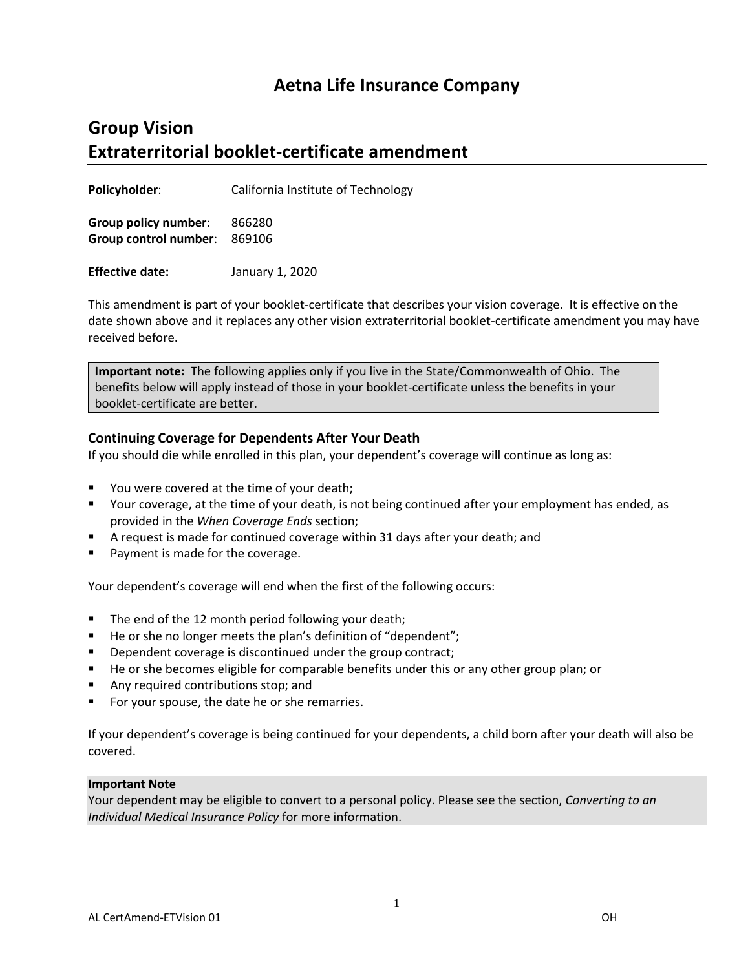## **Aetna Life Insurance Company**

## **Group Vision Extraterritorial booklet-certificate amendment**

**Policyholder**: California Institute of Technology

**Group policy number**: 866280 **Group control number**: 869106

**Effective date:** January 1, 2020

This amendment is part of your booklet-certificate that describes your vision coverage. It is effective on the date shown above and it replaces any other vision extraterritorial booklet-certificate amendment you may have received before.

**Important note:** The following applies only if you live in the State/Commonwealth of Ohio. The benefits below will apply instead of those in your booklet-certificate unless the benefits in your booklet-certificate are better.

## **Continuing Coverage for Dependents After Your Death**

If you should die while enrolled in this plan, your dependent's coverage will continue as long as:

- You were covered at the time of your death;
- Your coverage, at the time of your death, is not being continued after your employment has ended, as provided in the *When Coverage Ends* section;
- A request is made for continued coverage within 31 days after your death; and
- **Payment is made for the coverage.**

Your dependent's coverage will end when the first of the following occurs:

- The end of the 12 month period following your death;
- He or she no longer meets the plan's definition of "dependent";
- Dependent coverage is discontinued under the group contract;
- **He or she becomes eligible for comparable benefits under this or any other group plan; or**
- Any required contributions stop; and
- For your spouse, the date he or she remarries.

If your dependent's coverage is being continued for your dependents, a child born after your death will also be covered.

## **Important Note**

Your dependent may be eligible to convert to a personal policy. Please see the section, *Converting to an Individual Medical Insurance Policy* for more information.